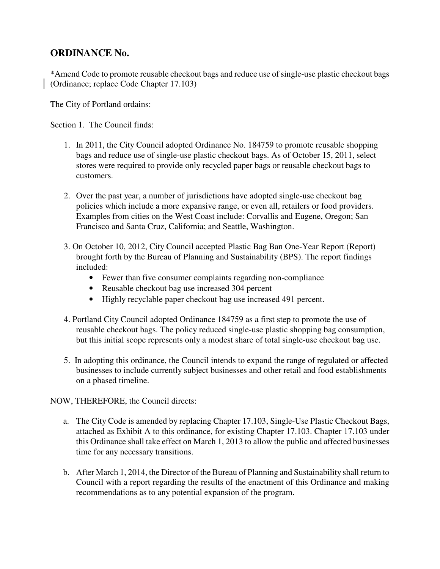## **ORDINANCE No.**

\*Amend Code to promote reusable checkout bags and reduce use of single-use plastic checkout bags (Ordinance; replace Code Chapter 17.103)

The City of Portland ordains:

Section 1. The Council finds:

- 1. In 2011, the City Council adopted Ordinance No. 184759 to promote reusable shopping bags and reduce use of single-use plastic checkout bags. As of October 15, 2011, select stores were required to provide only recycled paper bags or reusable checkout bags to customers.
- 2. Over the past year, a number of jurisdictions have adopted single-use checkout bag policies which include a more expansive range, or even all, retailers or food providers. Examples from cities on the West Coast include: Corvallis and Eugene, Oregon; San Francisco and Santa Cruz, California; and Seattle, Washington.
- 3. On October 10, 2012, City Council accepted Plastic Bag Ban One-Year Report (Report) brought forth by the Bureau of Planning and Sustainability (BPS). The report findings included:
	- Fewer than five consumer complaints regarding non-compliance
	- Reusable checkout bag use increased 304 percent
	- Highly recyclable paper checkout bag use increased 491 percent.
- 4. Portland City Council adopted Ordinance 184759 as a first step to promote the use of reusable checkout bags. The policy reduced single-use plastic shopping bag consumption, but this initial scope represents only a modest share of total single-use checkout bag use.
- 5. In adopting this ordinance, the Council intends to expand the range of regulated or affected businesses to include currently subject businesses and other retail and food establishments on a phased timeline.

NOW, THEREFORE, the Council directs:

- a. The City Code is amended by replacing Chapter 17.103, Single-Use Plastic Checkout Bags, attached as Exhibit A to this ordinance, for existing Chapter 17.103. Chapter 17.103 under this Ordinance shall take effect on March 1, 2013 to allow the public and affected businesses time for any necessary transitions.
- b. After March 1, 2014, the Director of the Bureau of Planning and Sustainability shall return to Council with a report regarding the results of the enactment of this Ordinance and making recommendations as to any potential expansion of the program.